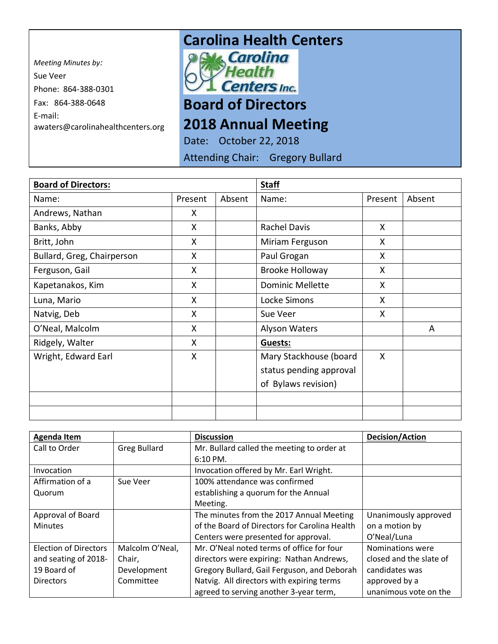*Meeting Minutes by:*  Sue Veer Phone: 864-388-0301 Fax: 864-388-0648 E-mail: awaters@carolinahealthcenters.org

## **Carolina Health Centers**<br>**Pak Carolina**



## **Board of Directors**

## **2018 Annual Meeting**

Date: October 22, 2018

Attending Chair: Gregory Bullard

| <b>Board of Directors:</b> |         |        | <b>Staff</b>            |         |        |
|----------------------------|---------|--------|-------------------------|---------|--------|
| Name:                      | Present | Absent | Name:                   | Present | Absent |
| Andrews, Nathan            | X       |        |                         |         |        |
| Banks, Abby                | X       |        | <b>Rachel Davis</b>     | X       |        |
| Britt, John                | X       |        | Miriam Ferguson         | X       |        |
| Bullard, Greg, Chairperson | X       |        | Paul Grogan             | X       |        |
| Ferguson, Gail             | X       |        | <b>Brooke Holloway</b>  | X       |        |
| Kapetanakos, Kim           | X       |        | <b>Dominic Mellette</b> | X       |        |
| Luna, Mario                | X       |        | Locke Simons            | X       |        |
| Natvig, Deb                | X       |        | Sue Veer                | X       |        |
| O'Neal, Malcolm            | X       |        | Alyson Waters           |         | A      |
| Ridgely, Walter            | X       |        | Guests:                 |         |        |
| Wright, Edward Earl        | X       |        | Mary Stackhouse (board  | X       |        |
|                            |         |        | status pending approval |         |        |
|                            |         |        | of Bylaws revision)     |         |        |
|                            |         |        |                         |         |        |
|                            |         |        |                         |         |        |

| <b>Agenda Item</b>    |                     | <b>Discussion</b>                             | <b>Decision/Action</b>  |  |
|-----------------------|---------------------|-----------------------------------------------|-------------------------|--|
| Call to Order         | <b>Greg Bullard</b> | Mr. Bullard called the meeting to order at    |                         |  |
|                       |                     | 6:10 PM.                                      |                         |  |
| Invocation            |                     | Invocation offered by Mr. Earl Wright.        |                         |  |
| Affirmation of a      | Sue Veer            | 100% attendance was confirmed                 |                         |  |
| Quorum                |                     | establishing a quorum for the Annual          |                         |  |
|                       |                     | Meeting.                                      |                         |  |
| Approval of Board     |                     | The minutes from the 2017 Annual Meeting      | Unanimously approved    |  |
| <b>Minutes</b>        |                     | of the Board of Directors for Carolina Health | on a motion by          |  |
|                       |                     | Centers were presented for approval.          | O'Neal/Luna             |  |
| Election of Directors | Malcolm O'Neal,     | Mr. O'Neal noted terms of office for four     | Nominations were        |  |
| and seating of 2018-  | Chair,              | directors were expiring: Nathan Andrews,      | closed and the slate of |  |
| 19 Board of           | Development         | Gregory Bullard, Gail Ferguson, and Deborah   | candidates was          |  |
| <b>Directors</b>      | Committee           | Natvig. All directors with expiring terms     | approved by a           |  |
|                       |                     | agreed to serving another 3-year term,        | unanimous vote on the   |  |